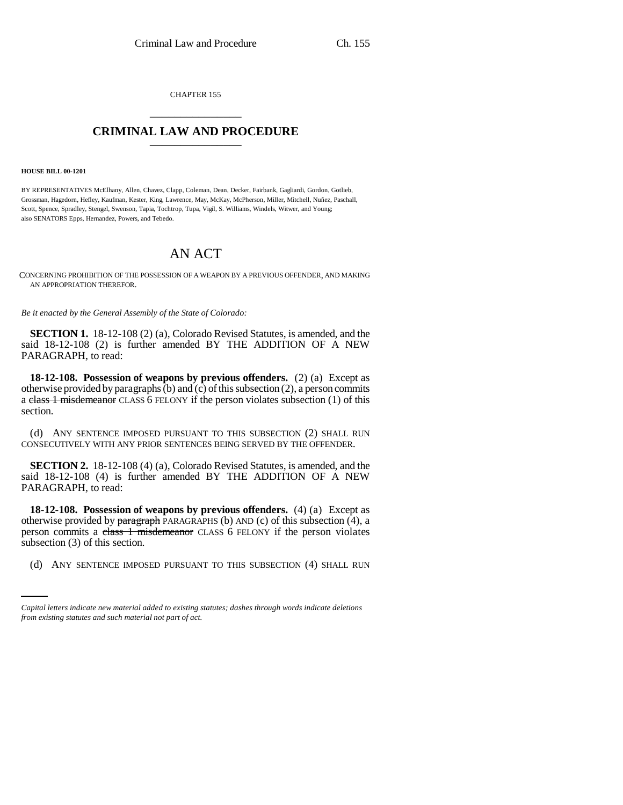CHAPTER 155 \_\_\_\_\_\_\_\_\_\_\_\_\_\_\_

## **CRIMINAL LAW AND PROCEDURE** \_\_\_\_\_\_\_\_\_\_\_\_\_\_\_

## **HOUSE BILL 00-1201**

BY REPRESENTATIVES McElhany, Allen, Chavez, Clapp, Coleman, Dean, Decker, Fairbank, Gagliardi, Gordon, Gotlieb, Grossman, Hagedorn, Hefley, Kaufman, Kester, King, Lawrence, May, McKay, McPherson, Miller, Mitchell, Nuñez, Paschall, Scott, Spence, Spradley, Stengel, Swenson, Tapia, Tochtrop, Tupa, Vigil, S. Williams, Windels, Witwer, and Young; also SENATORS Epps, Hernandez, Powers, and Tebedo.

## AN ACT

CONCERNING PROHIBITION OF THE POSSESSION OF A WEAPON BY A PREVIOUS OFFENDER, AND MAKING AN APPROPRIATION THEREFOR.

*Be it enacted by the General Assembly of the State of Colorado:*

**SECTION 1.** 18-12-108 (2) (a), Colorado Revised Statutes, is amended, and the said 18-12-108 (2) is further amended BY THE ADDITION OF A NEW PARAGRAPH, to read:

**18-12-108. Possession of weapons by previous offenders.** (2) (a) Except as otherwise provided by paragraphs (b) and (c) of this subsection (2), a person commits a class 1 misdemeanor CLASS 6 FELONY if the person violates subsection (1) of this section.

(d) ANY SENTENCE IMPOSED PURSUANT TO THIS SUBSECTION (2) SHALL RUN CONSECUTIVELY WITH ANY PRIOR SENTENCES BEING SERVED BY THE OFFENDER.

**SECTION 2.** 18-12-108 (4) (a), Colorado Revised Statutes, is amended, and the said 18-12-108 (4) is further amended BY THE ADDITION OF A NEW PARAGRAPH, to read:

subsection (3) of this section. **18-12-108. Possession of weapons by previous offenders.** (4) (a) Except as otherwise provided by paragraph PARAGRAPHS (b) AND (c) of this subsection  $(\overline{4})$ , a person commits a class 1 misdemeanor CLASS 6 FELONY if the person violates

(d) ANY SENTENCE IMPOSED PURSUANT TO THIS SUBSECTION (4) SHALL RUN

*Capital letters indicate new material added to existing statutes; dashes through words indicate deletions from existing statutes and such material not part of act.*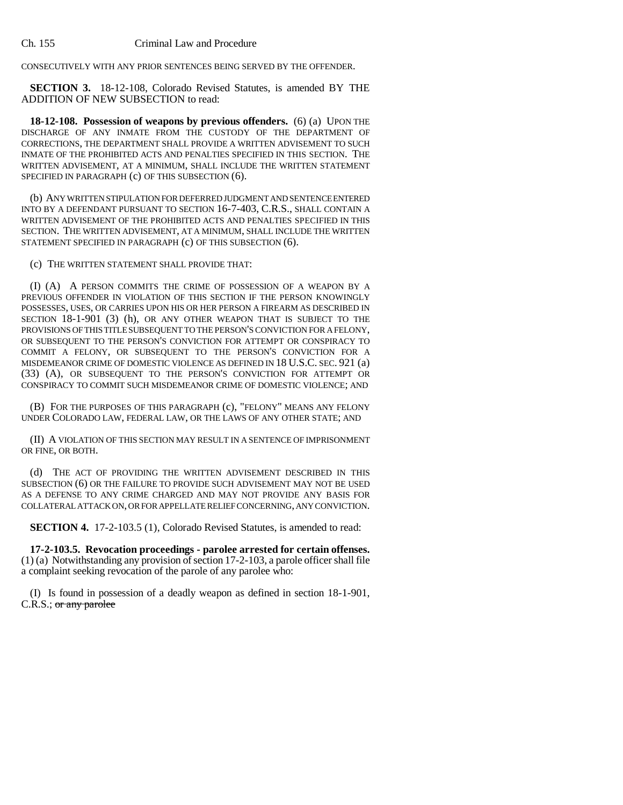CONSECUTIVELY WITH ANY PRIOR SENTENCES BEING SERVED BY THE OFFENDER.

**SECTION 3.** 18-12-108, Colorado Revised Statutes, is amended BY THE ADDITION OF NEW SUBSECTION to read:

**18-12-108. Possession of weapons by previous offenders.** (6) (a) UPON THE DISCHARGE OF ANY INMATE FROM THE CUSTODY OF THE DEPARTMENT OF CORRECTIONS, THE DEPARTMENT SHALL PROVIDE A WRITTEN ADVISEMENT TO SUCH INMATE OF THE PROHIBITED ACTS AND PENALTIES SPECIFIED IN THIS SECTION. THE WRITTEN ADVISEMENT, AT A MINIMUM, SHALL INCLUDE THE WRITTEN STATEMENT SPECIFIED IN PARAGRAPH (c) OF THIS SUBSECTION (6).

(b) ANY WRITTEN STIPULATION FOR DEFERRED JUDGMENT AND SENTENCE ENTERED INTO BY A DEFENDANT PURSUANT TO SECTION 16-7-403, C.R.S., SHALL CONTAIN A WRITTEN ADVISEMENT OF THE PROHIBITED ACTS AND PENALTIES SPECIFIED IN THIS SECTION. THE WRITTEN ADVISEMENT, AT A MINIMUM, SHALL INCLUDE THE WRITTEN STATEMENT SPECIFIED IN PARAGRAPH (c) OF THIS SUBSECTION (6).

(c) THE WRITTEN STATEMENT SHALL PROVIDE THAT:

(I) (A) A PERSON COMMITS THE CRIME OF POSSESSION OF A WEAPON BY A PREVIOUS OFFENDER IN VIOLATION OF THIS SECTION IF THE PERSON KNOWINGLY POSSESSES, USES, OR CARRIES UPON HIS OR HER PERSON A FIREARM AS DESCRIBED IN SECTION 18-1-901 (3) (h), OR ANY OTHER WEAPON THAT IS SUBJECT TO THE PROVISIONS OF THIS TITLE SUBSEQUENT TO THE PERSON'S CONVICTION FOR A FELONY, OR SUBSEQUENT TO THE PERSON'S CONVICTION FOR ATTEMPT OR CONSPIRACY TO COMMIT A FELONY, OR SUBSEQUENT TO THE PERSON'S CONVICTION FOR A MISDEMEANOR CRIME OF DOMESTIC VIOLENCE AS DEFINED IN 18 U.S.C. SEC. 921 (a) (33) (A), OR SUBSEQUENT TO THE PERSON'S CONVICTION FOR ATTEMPT OR CONSPIRACY TO COMMIT SUCH MISDEMEANOR CRIME OF DOMESTIC VIOLENCE; AND

(B) FOR THE PURPOSES OF THIS PARAGRAPH (c), "FELONY" MEANS ANY FELONY UNDER COLORADO LAW, FEDERAL LAW, OR THE LAWS OF ANY OTHER STATE; AND

(II) A VIOLATION OF THIS SECTION MAY RESULT IN A SENTENCE OF IMPRISONMENT OR FINE, OR BOTH.

(d) THE ACT OF PROVIDING THE WRITTEN ADVISEMENT DESCRIBED IN THIS SUBSECTION (6) OR THE FAILURE TO PROVIDE SUCH ADVISEMENT MAY NOT BE USED AS A DEFENSE TO ANY CRIME CHARGED AND MAY NOT PROVIDE ANY BASIS FOR COLLATERAL ATTACK ON, OR FOR APPELLATE RELIEF CONCERNING, ANY CONVICTION.

**SECTION 4.** 17-2-103.5 (1), Colorado Revised Statutes, is amended to read:

**17-2-103.5. Revocation proceedings - parolee arrested for certain offenses.** (1) (a) Notwithstanding any provision of section 17-2-103, a parole officer shall file a complaint seeking revocation of the parole of any parolee who:

(I) Is found in possession of a deadly weapon as defined in section 18-1-901, C.R.S.; or any parolee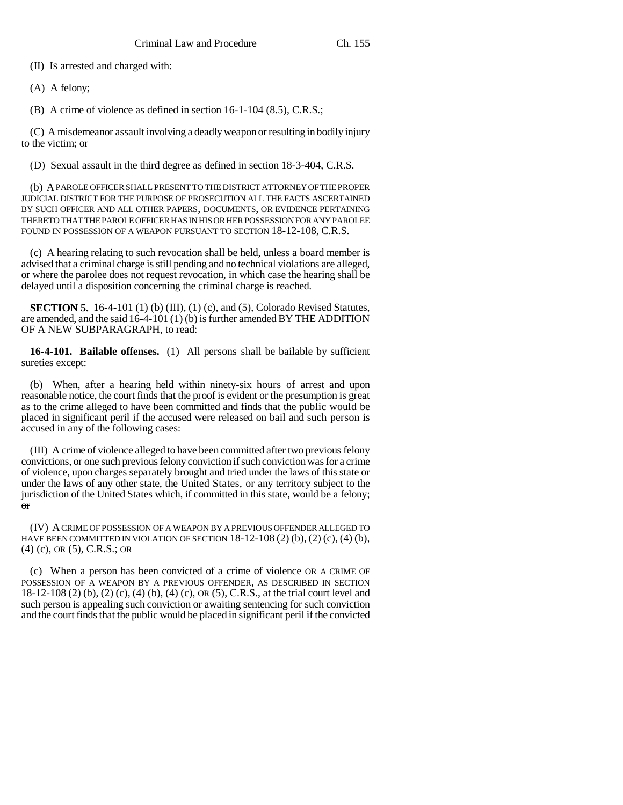(II) IS arrested and charged with:

(A) A felony;

(B) A crime of violence as defined in section 16-1-104 (8.5), C.R.S.;

(C) A misdemeanor assault involving a deadly weapon or resulting in bodily injury to the victim; or

(D) Sexual assault in the third degree as defined in section 18-3-404, C.R.S.

(b) A PAROLE OFFICER SHALL PRESENT TO THE DISTRICT ATTORNEY OF THE PROPER JUDICIAL DISTRICT FOR THE PURPOSE OF PROSECUTION ALL THE FACTS ASCERTAINED BY SUCH OFFICER AND ALL OTHER PAPERS, DOCUMENTS, OR EVIDENCE PERTAINING THERETO THAT THE PAROLE OFFICER HAS IN HIS OR HER POSSESSION FOR ANY PAROLEE FOUND IN POSSESSION OF A WEAPON PURSUANT TO SECTION 18-12-108, C.R.S.

(c) A hearing relating to such revocation shall be held, unless a board member is advised that a criminal charge is still pending and no technical violations are alleged, or where the parolee does not request revocation, in which case the hearing shall be delayed until a disposition concerning the criminal charge is reached.

**SECTION 5.** 16-4-101 (1) (b) (III), (1) (c), and (5), Colorado Revised Statutes, are amended, and the said 16-4-101 (1) (b) is further amended BY THE ADDITION OF A NEW SUBPARAGRAPH, to read:

**16-4-101. Bailable offenses.** (1) All persons shall be bailable by sufficient sureties except:

(b) When, after a hearing held within ninety-six hours of arrest and upon reasonable notice, the court finds that the proof is evident or the presumption is great as to the crime alleged to have been committed and finds that the public would be placed in significant peril if the accused were released on bail and such person is accused in any of the following cases:

(III) A crime of violence alleged to have been committed after two previous felony convictions, or one such previous felony conviction if such conviction was for a crime of violence, upon charges separately brought and tried under the laws of this state or under the laws of any other state, the United States, or any territory subject to the jurisdiction of the United States which, if committed in this state, would be a felony; or

(IV) A CRIME OF POSSESSION OF A WEAPON BY A PREVIOUS OFFENDER ALLEGED TO HAVE BEEN COMMITTED IN VIOLATION OF SECTION  $18-12-108$  (2) (b), (2) (c), (4) (b), (4) (c), OR (5), C.R.S.; OR

(c) When a person has been convicted of a crime of violence OR A CRIME OF POSSESSION OF A WEAPON BY A PREVIOUS OFFENDER, AS DESCRIBED IN SECTION 18-12-108 (2) (b), (2) (c), (4) (b), (4) (c), OR (5), C.R.S., at the trial court level and such person is appealing such conviction or awaiting sentencing for such conviction and the court finds that the public would be placed in significant peril if the convicted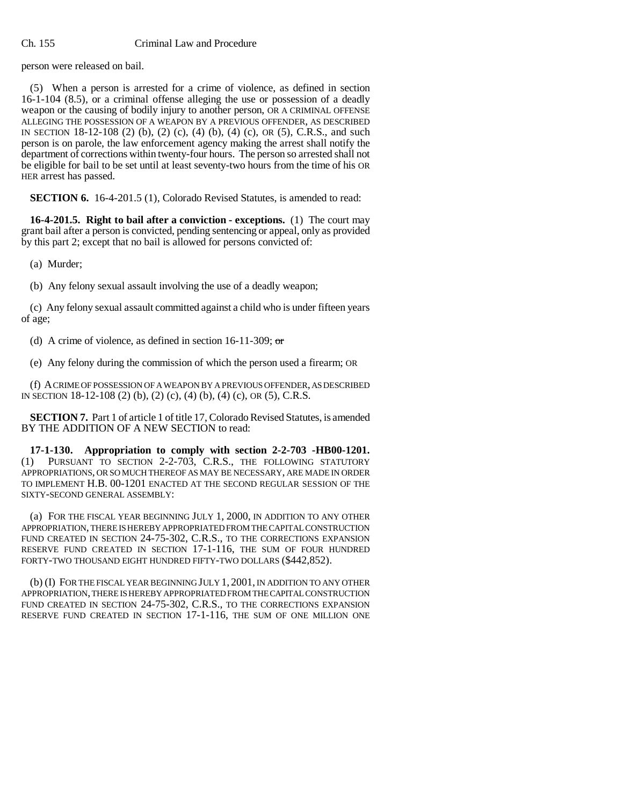person were released on bail.

(5) When a person is arrested for a crime of violence, as defined in section 16-1-104 (8.5), or a criminal offense alleging the use or possession of a deadly weapon or the causing of bodily injury to another person, OR A CRIMINAL OFFENSE ALLEGING THE POSSESSION OF A WEAPON BY A PREVIOUS OFFENDER, AS DESCRIBED IN SECTION 18-12-108 (2) (b), (2) (c), (4) (b), (4) (c), OR (5), C.R.S., and such person is on parole, the law enforcement agency making the arrest shall notify the department of corrections within twenty-four hours. The person so arrested shall not be eligible for bail to be set until at least seventy-two hours from the time of his OR HER arrest has passed.

**SECTION 6.** 16-4-201.5 (1), Colorado Revised Statutes, is amended to read:

**16-4-201.5. Right to bail after a conviction - exceptions.** (1) The court may grant bail after a person is convicted, pending sentencing or appeal, only as provided by this part 2; except that no bail is allowed for persons convicted of:

(a) Murder;

(b) Any felony sexual assault involving the use of a deadly weapon;

(c) Any felony sexual assault committed against a child who is under fifteen years of age;

(d) A crime of violence, as defined in section 16-11-309;  $\sigma$ r

(e) Any felony during the commission of which the person used a firearm; OR

(f) A CRIME OF POSSESSION OF A WEAPON BY A PREVIOUS OFFENDER, AS DESCRIBED IN SECTION 18-12-108 (2) (b), (2) (c), (4) (b), (4) (c), OR (5), C.R.S.

**SECTION 7.** Part 1 of article 1 of title 17, Colorado Revised Statutes, is amended BY THE ADDITION OF A NEW SECTION to read:

**17-1-130. Appropriation to comply with section 2-2-703 -HB00-1201.** (1) PURSUANT TO SECTION 2-2-703, C.R.S., THE FOLLOWING STATUTORY APPROPRIATIONS, OR SO MUCH THEREOF AS MAY BE NECESSARY, ARE MADE IN ORDER TO IMPLEMENT H.B. 00-1201 ENACTED AT THE SECOND REGULAR SESSION OF THE SIXTY-SECOND GENERAL ASSEMBLY:

(a) FOR THE FISCAL YEAR BEGINNING JULY 1, 2000, IN ADDITION TO ANY OTHER APPROPRIATION, THERE IS HEREBY APPROPRIATED FROM THE CAPITAL CONSTRUCTION FUND CREATED IN SECTION 24-75-302, C.R.S., TO THE CORRECTIONS EXPANSION RESERVE FUND CREATED IN SECTION 17-1-116, THE SUM OF FOUR HUNDRED FORTY-TWO THOUSAND EIGHT HUNDRED FIFTY-TWO DOLLARS (\$442,852).

(b) (I) FOR THE FISCAL YEAR BEGINNING JULY 1, 2001, IN ADDITION TO ANY OTHER APPROPRIATION, THERE IS HEREBY APPROPRIATED FROM THE CAPITAL CONSTRUCTION FUND CREATED IN SECTION 24-75-302, C.R.S., TO THE CORRECTIONS EXPANSION RESERVE FUND CREATED IN SECTION 17-1-116, THE SUM OF ONE MILLION ONE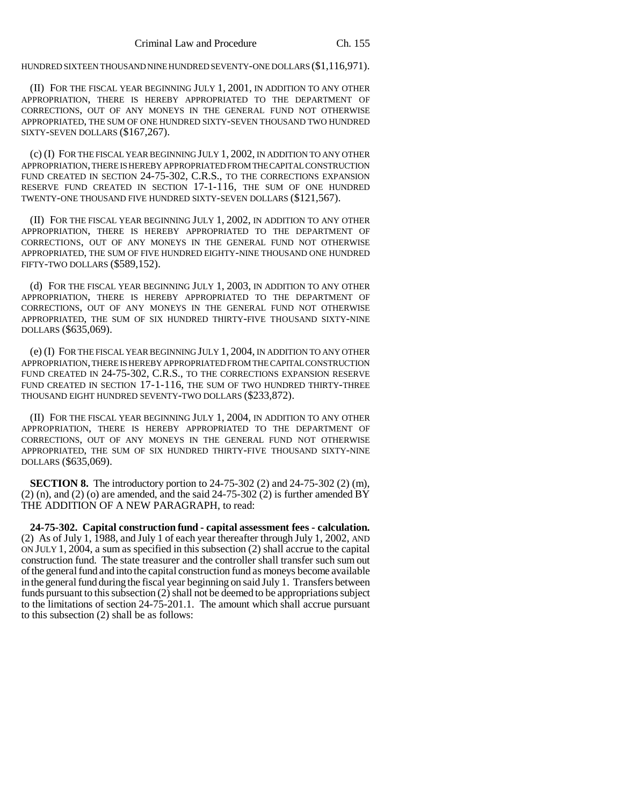HUNDRED SIXTEEN THOUSAND NINE HUNDRED SEVENTY-ONE DOLLARS (\$1,116,971).

(II) FOR THE FISCAL YEAR BEGINNING JULY 1, 2001, IN ADDITION TO ANY OTHER APPROPRIATION, THERE IS HEREBY APPROPRIATED TO THE DEPARTMENT OF CORRECTIONS, OUT OF ANY MONEYS IN THE GENERAL FUND NOT OTHERWISE APPROPRIATED, THE SUM OF ONE HUNDRED SIXTY-SEVEN THOUSAND TWO HUNDRED SIXTY-SEVEN DOLLARS (\$167,267).

(c) (I) FOR THE FISCAL YEAR BEGINNING JULY 1, 2002, IN ADDITION TO ANY OTHER APPROPRIATION, THERE IS HEREBY APPROPRIATED FROM THE CAPITAL CONSTRUCTION FUND CREATED IN SECTION 24-75-302, C.R.S., TO THE CORRECTIONS EXPANSION RESERVE FUND CREATED IN SECTION 17-1-116, THE SUM OF ONE HUNDRED TWENTY-ONE THOUSAND FIVE HUNDRED SIXTY-SEVEN DOLLARS (\$121,567).

(II) FOR THE FISCAL YEAR BEGINNING JULY 1, 2002, IN ADDITION TO ANY OTHER APPROPRIATION, THERE IS HEREBY APPROPRIATED TO THE DEPARTMENT OF CORRECTIONS, OUT OF ANY MONEYS IN THE GENERAL FUND NOT OTHERWISE APPROPRIATED, THE SUM OF FIVE HUNDRED EIGHTY-NINE THOUSAND ONE HUNDRED FIFTY-TWO DOLLARS (\$589,152).

(d) FOR THE FISCAL YEAR BEGINNING JULY 1, 2003, IN ADDITION TO ANY OTHER APPROPRIATION, THERE IS HEREBY APPROPRIATED TO THE DEPARTMENT OF CORRECTIONS, OUT OF ANY MONEYS IN THE GENERAL FUND NOT OTHERWISE APPROPRIATED, THE SUM OF SIX HUNDRED THIRTY-FIVE THOUSAND SIXTY-NINE DOLLARS (\$635,069).

(e) (I) FOR THE FISCAL YEAR BEGINNING JULY 1, 2004, IN ADDITION TO ANY OTHER APPROPRIATION, THERE IS HEREBY APPROPRIATED FROM THE CAPITAL CONSTRUCTION FUND CREATED IN 24-75-302, C.R.S., TO THE CORRECTIONS EXPANSION RESERVE FUND CREATED IN SECTION 17-1-116, THE SUM OF TWO HUNDRED THIRTY-THREE THOUSAND EIGHT HUNDRED SEVENTY-TWO DOLLARS (\$233,872).

(II) FOR THE FISCAL YEAR BEGINNING JULY 1, 2004, IN ADDITION TO ANY OTHER APPROPRIATION, THERE IS HEREBY APPROPRIATED TO THE DEPARTMENT OF CORRECTIONS, OUT OF ANY MONEYS IN THE GENERAL FUND NOT OTHERWISE APPROPRIATED, THE SUM OF SIX HUNDRED THIRTY-FIVE THOUSAND SIXTY-NINE DOLLARS (\$635,069).

**SECTION 8.** The introductory portion to 24-75-302 (2) and 24-75-302 (2) (m),  $(2)$  (n), and  $(2)$  (o) are amended, and the said  $24-75-302$  (2) is further amended BY THE ADDITION OF A NEW PARAGRAPH, to read:

**24-75-302. Capital construction fund - capital assessment fees - calculation.** (2) As of July 1, 1988, and July 1 of each year thereafter through July 1, 2002, AND ON JULY 1, 2004, a sum as specified in this subsection (2) shall accrue to the capital construction fund. The state treasurer and the controller shall transfer such sum out of the general fund and into the capital construction fund as moneys become available in the general fund during the fiscal year beginning on said July 1. Transfers between funds pursuant to this subsection (2) shall not be deemed to be appropriations subject to the limitations of section 24-75-201.1. The amount which shall accrue pursuant to this subsection (2) shall be as follows: